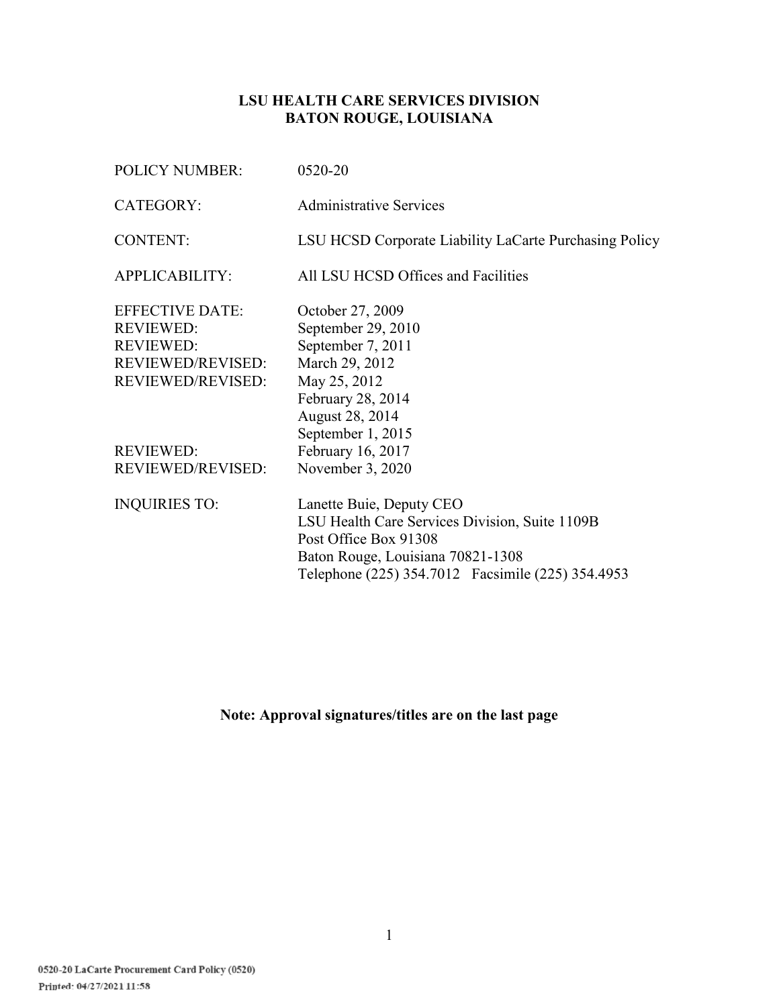## **LSU HEALTH CARE SERVICES DIVISION BATON ROUGE, LOUISIANA**

| <b>POLICY NUMBER:</b>                                          | 0520-20                                                                                                                                                                                        |
|----------------------------------------------------------------|------------------------------------------------------------------------------------------------------------------------------------------------------------------------------------------------|
| CATEGORY:                                                      | <b>Administrative Services</b>                                                                                                                                                                 |
| <b>CONTENT:</b>                                                | LSU HCSD Corporate Liability LaCarte Purchasing Policy                                                                                                                                         |
| APPLICABILITY:                                                 | All LSU HCSD Offices and Facilities                                                                                                                                                            |
| <b>EFFECTIVE DATE:</b><br><b>REVIEWED:</b><br><b>REVIEWED:</b> | October 27, 2009<br>September 29, 2010<br>September 7, 2011                                                                                                                                    |
| <b>REVIEWED/REVISED:</b><br>REVIEWED/REVISED:                  | March 29, 2012<br>May 25, 2012<br>February 28, 2014<br>August 28, 2014<br>September 1, 2015                                                                                                    |
| <b>REVIEWED:</b>                                               | February 16, 2017                                                                                                                                                                              |
| <b>REVIEWED/REVISED:</b>                                       | November 3, 2020                                                                                                                                                                               |
| <b>INQUIRIES TO:</b>                                           | Lanette Buie, Deputy CEO<br>LSU Health Care Services Division, Suite 1109B<br>Post Office Box 91308<br>Baton Rouge, Louisiana 70821-1308<br>Telephone (225) 354.7012  Facsimile (225) 354.4953 |

# **Note: Approval signatures/titles are on the last page**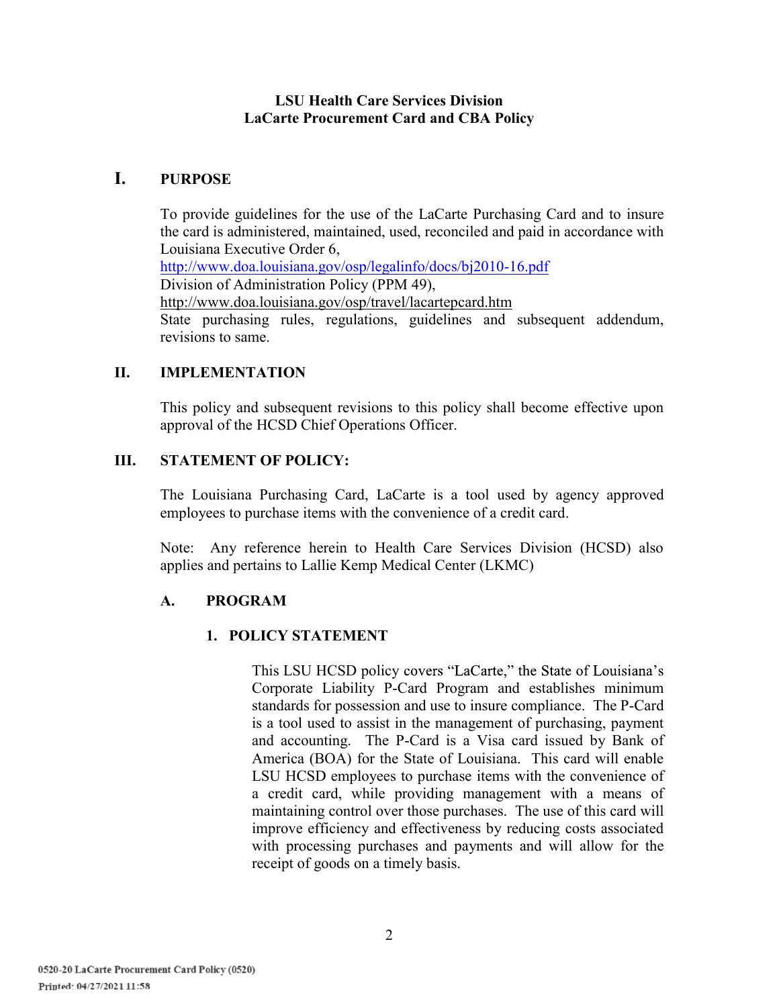## **LSU Health Care Services Division LaCarte Procurement Card and CBA Policy**

## **I. PURPOSE**

To provide guidelines for the use of the LaCarte Purchasing Card and to insure the card is administered, maintained, used, reconciled and paid in accordance with Louisiana Executive Order 6, http://www.doa.louisiana.gov/osp/legalinfo/docs/bj2010-16.pdf Division of Administration Policy (PPM 49), http://www.doa.louisiana.gov/osp/travel/lacartepcard.htm State purchasing rules, regulations, guidelines and subsequent addendum, revisions to same.

## **II. IMPLEMENTATION**

This policy and subsequent revisions to this policy shall become effective upon approval of the HCSD Chief Operations Officer.

## **III. STATEMENT OF POLICY:**

The Louisiana Purchasing Card, LaCarte is a tool used by agency approved employees to purchase items with the convenience of a credit card.

Note: Any reference herein to Health Care Services Division (HCSD) also applies and pertains to Lallie Kemp Medical Center (LKMC)

#### **A. PROGRAM**

#### **1. POLICY STATEMENT**

This LSU HCSD policy covers "LaCarte," the State of Louisiana's Corporate Liability P-Card Program and establishes minimum standards for possession and use to insure compliance. The P-Card is a tool used to assist in the management of purchasing, payment and accounting. The P-Card is a Visa card issued by Bank of America (BOA) for the State of Louisiana. This card will enable LSU HCSD employees to purchase items with the convenience of a credit card, while providing management with a means of maintaining control over those purchases. The use of this card will improve efficiency and effectiveness by reducing costs associated with processing purchases and payments and will allow for the receipt of goods on a timely basis.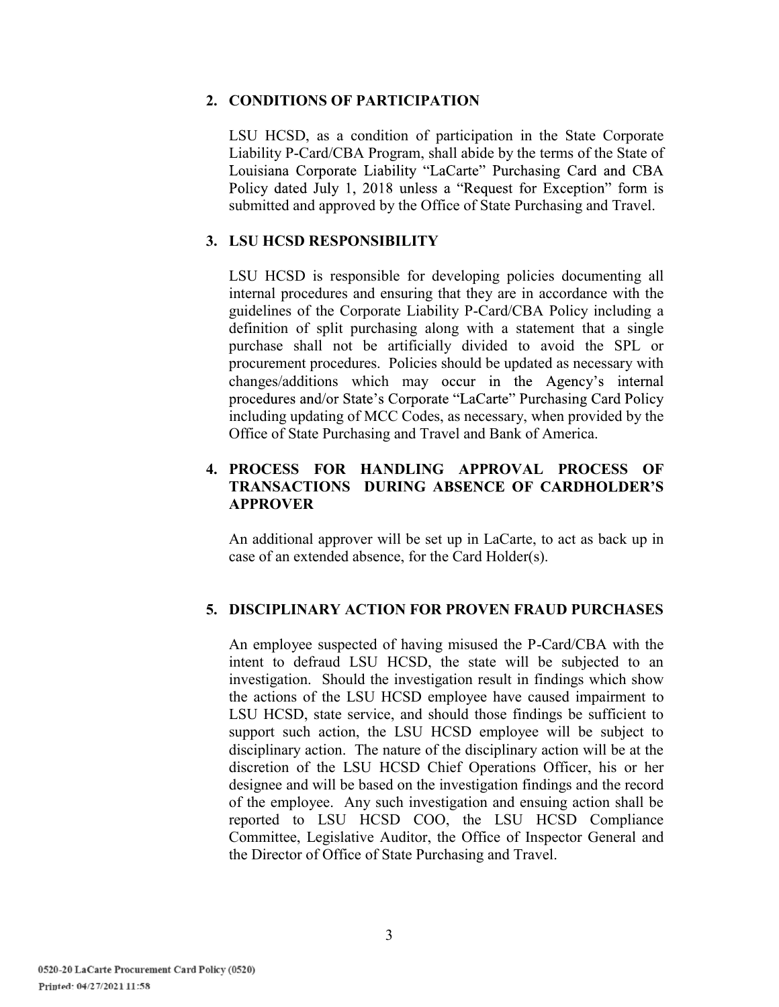#### **2. CONDITIONS OF PARTICIPATION**

LSU HCSD, as a condition of participation in the State Corporate Liability P-Card/CBA Program, shall abide by the terms of the State of Louisiana Corporate Liability "LaCarte" Purchasing Card and CBA Policy dated July 1, 2018 unless a "Request for Exception" form is submitted and approved by the Office of State Purchasing and Travel.

## **3. LSU HCSD RESPONSIBILITY**

LSU HCSD is responsible for developing policies documenting all internal procedures and ensuring that they are in accordance with the guidelines of the Corporate Liability P-Card/CBA Policy including a definition of split purchasing along with a statement that a single purchase shall not be artificially divided to avoid the SPL or procurement procedures. Policies should be updated as necessary with changes/additions which may occur in the Agency's internal procedures and/or State's Corporate "LaCarte" Purchasing Card Policy including updating of MCC Codes, as necessary, when provided by the Office of State Purchasing and Travel and Bank of America.

## **4. PROCESS FOR HANDLING APPROVAL PROCESS OF TRANSACTIONS DURING A APPROVER**

An additional approver will be set up in LaCarte, to act as back up in case of an extended absence, for the Card Holder(s).

## **5. DISCIPLINARY ACTION FOR PROVEN FRAUD PURCHASES**

An employee suspected of having misused the P-Card/CBA with the intent to defraud LSU HCSD, the state will be subjected to an investigation. Should the investigation result in findings which show the actions of the LSU HCSD employee have caused impairment to LSU HCSD, state service, and should those findings be sufficient to support such action, the LSU HCSD employee will be subject to disciplinary action. The nature of the disciplinary action will be at the discretion of the LSU HCSD Chief Operations Officer, his or her designee and will be based on the investigation findings and the record of the employee. Any such investigation and ensuing action shall be reported to LSU HCSD COO, the LSU HCSD Compliance Committee, Legislative Auditor, the Office of Inspector General and the Director of Office of State Purchasing and Travel.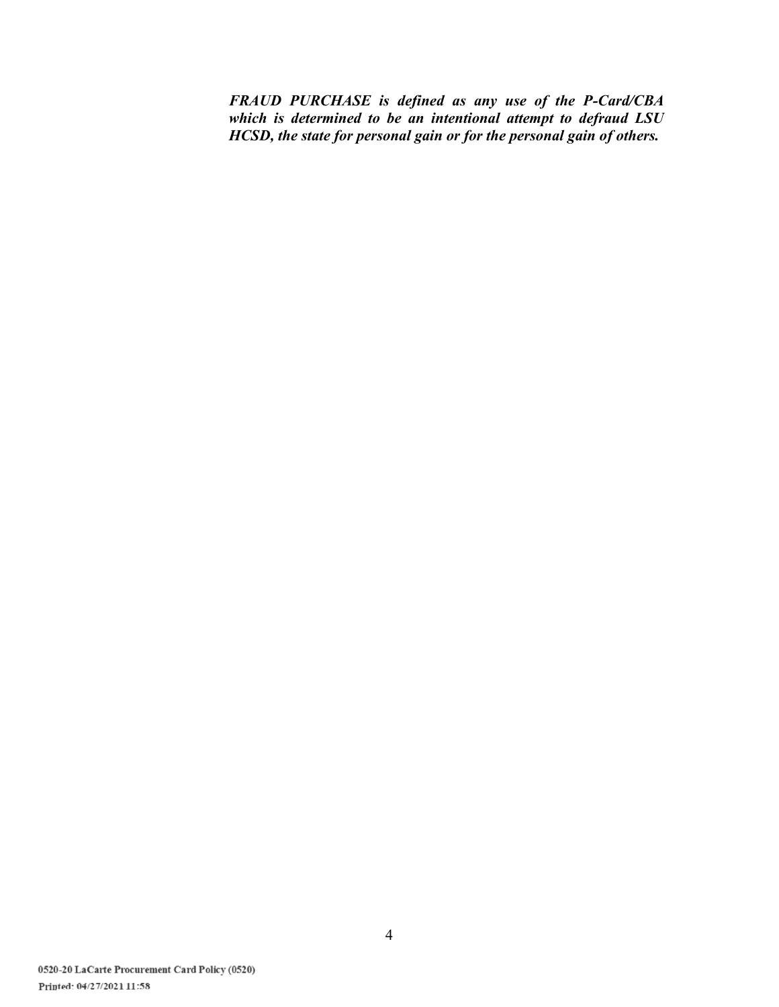*FRAUD PURCHASE is defined as any use of the P-Card/CBA which is determined to be an intentional attempt to defraud LSU HCSD, the state for personal gain or for the personal gain of others.*